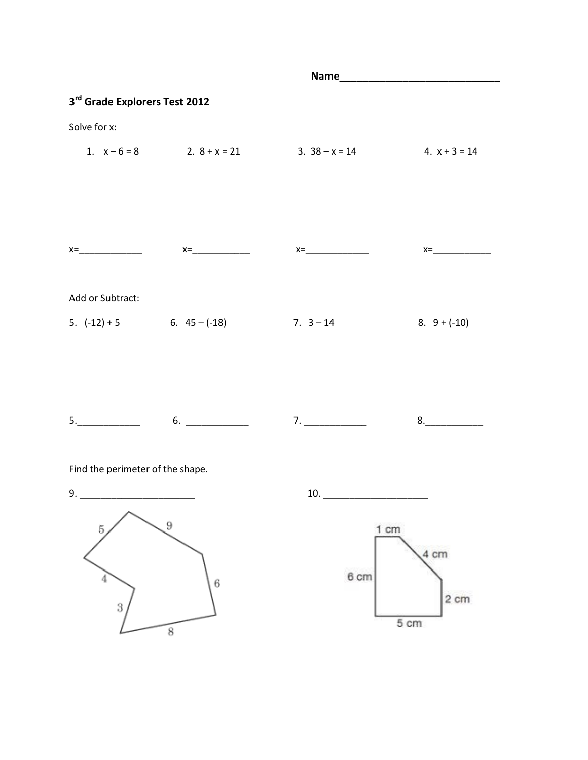| 3rd Grade Explorers Test 2012    |   |                                                                                                                                 |                |
|----------------------------------|---|---------------------------------------------------------------------------------------------------------------------------------|----------------|
| Solve for x:                     |   |                                                                                                                                 |                |
|                                  |   | 1. $x-6=8$ 2. $8+x=21$ 3. $38-x=14$ 4. $x+3=14$                                                                                 |                |
|                                  |   |                                                                                                                                 |                |
|                                  |   |                                                                                                                                 |                |
|                                  |   | $x=\underbrace{\qquad \qquad }$ $x=\underbrace{\qquad \qquad }$ $x=\underbrace{\qquad \qquad }$ $x=\underbrace{\qquad \qquad }$ | $x=\_$         |
| Add or Subtract:                 |   |                                                                                                                                 |                |
|                                  |   | 5. $(-12) + 5$ 6. $45 - (-18)$ 7. $3 - 14$                                                                                      | 8. $9 + (-10)$ |
|                                  |   |                                                                                                                                 |                |
|                                  |   | $5.$ $\begin{array}{ccc} 6. & \begin{array}{ccc} & 7. & \end{array} \end{array}$                                                | 8.             |
| Find the perimeter of the shape. |   |                                                                                                                                 |                |
| 9.                               |   |                                                                                                                                 |                |
| 5                                | 9 |                                                                                                                                 | 1 cm<br>4 cm   |
| 4                                | 6 | 6 <sub>cm</sub>                                                                                                                 | 2 cm           |
| 3                                | 8 |                                                                                                                                 | 5 cm           |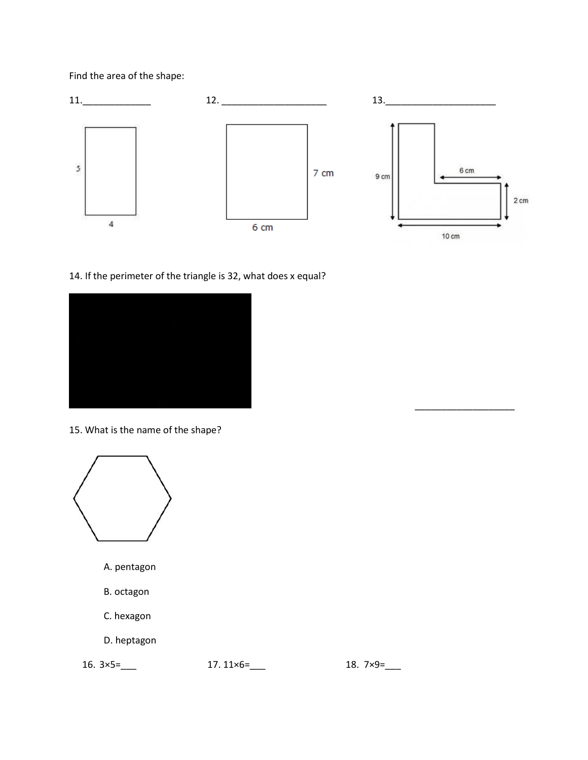## Find the area of the shape:



## 14. If the perimeter of the triangle is 32, what does x equal?



15. What is the name of the shape?



- A. pentagon
- B. octagon
- C. hexagon
- D. heptagon

16. 3×5=\_\_\_ 17. 11×6=\_\_\_ 18. 7×9=\_\_

\_\_\_\_\_\_\_\_\_\_\_\_\_\_\_\_\_\_\_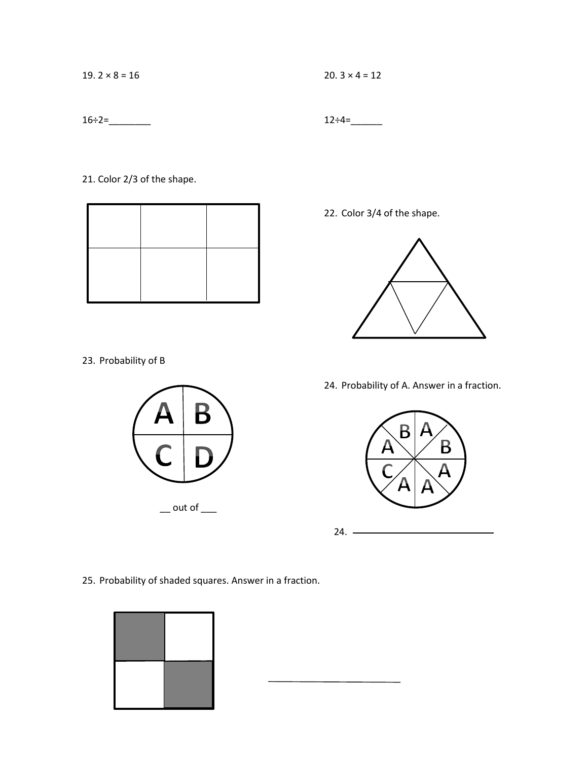19.  $2 \times 8 = 16$ 

20.  $3 \times 4 = 12$ 

 $12 \div 4 =$ 

 $16 \div 2 =$ 

21. Color 2/3 of the shape.



22. Color 3/4 of the shape.



23. Probability of B



24. Probability of A. Answer in a fraction.



 $\overline{\phantom{a}}$ 

25. Probability of shaded squares. Answer in a fraction.

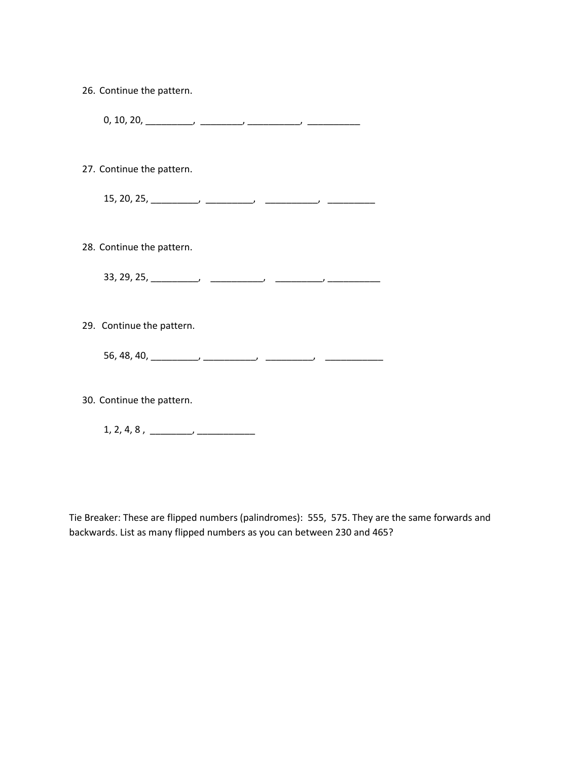| 26. Continue the pattern.              |  |
|----------------------------------------|--|
|                                        |  |
| 27. Continue the pattern.              |  |
|                                        |  |
| 28. Continue the pattern.              |  |
|                                        |  |
| 29. Continue the pattern.              |  |
|                                        |  |
| 30. Continue the pattern.              |  |
| $1, 2, 4, 8, \underline{\hspace{1cm}}$ |  |

Tie Breaker: These are flipped numbers (palindromes): 555, 575. They are the same forwards and backwards. List as many flipped numbers as you can between 230 and 465?